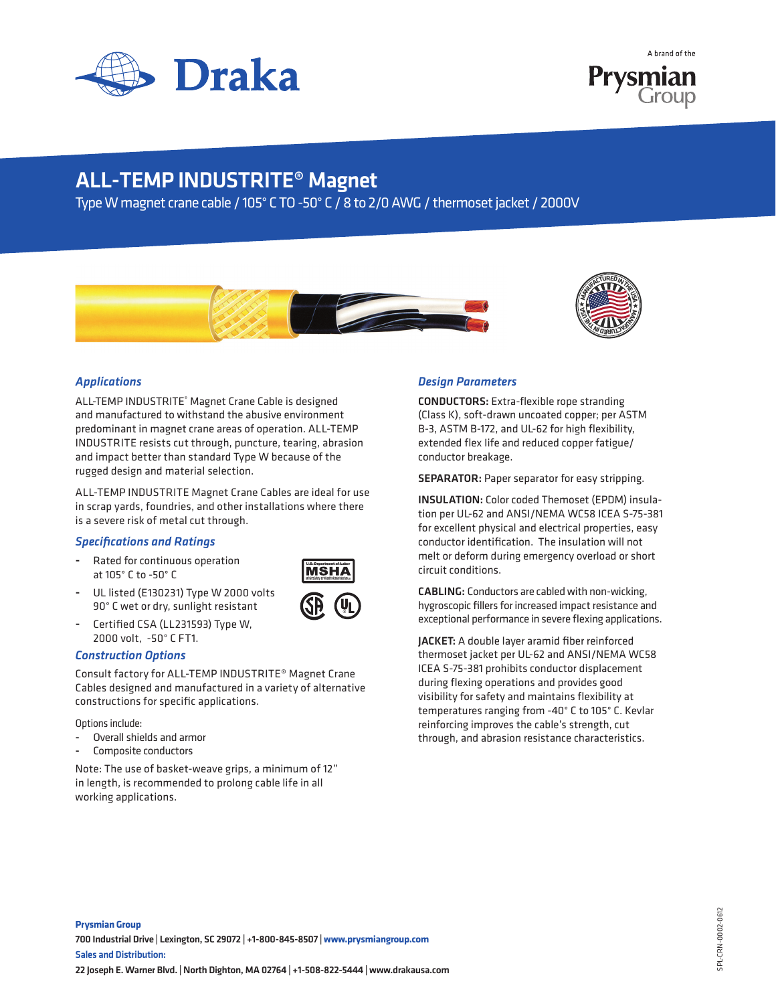



## ALL-TEMP INDUSTRITE® Magnet

Type W magnet crane cable / 105° C TO -50° C / 8 to 2/0 AWG / thermoset jacket / 2000V





### *Applications*

ALL-TEMP INDUSTRITE® Magnet Crane Cable is designed and manufactured to withstand the abusive environment predominant in magnet crane areas of operation. ALL-TEMP INDUSTRITE resists cut through, puncture, tearing, abrasion and impact better than standard Type W because of the rugged design and material selection.

ALL-TEMP INDUSTRITE Magnet Crane Cables are ideal for use in scrap yards, foundries, and other installations where there is a severe risk of metal cut through.

#### *Specifications and Ratings*

Rated for continuous operation at 105° C to -50° C



- UL listed (E130231) Type W 2000 volts 90° C wet or dry, sunlight resistant
- Certified CSA (LL231593) Type W, 2000 volt, -50° C FT1.

#### *Construction Options*

Consult factory for ALL-TEMP INDUSTRITE® Magnet Crane Cables designed and manufactured in a variety of alternative constructions for specific applications.

Options include:

- Overall shields and armor
- Composite conductors

Note: The use of basket-weave grips, a minimum of 12" in length, is recommended to prolong cable life in all working applications.

#### *Design Parameters*

CONDUCTORS: Extra-flexible rope stranding (Class K), soft-drawn uncoated copper; per ASTM B-3, ASTM B-172, and UL-62 for high flexibility, extended flex Iife and reduced copper fatigue/ conductor breakage.

SEPARATOR: Paper separator for easy stripping.

INSULATION: Color coded Themoset (EPDM) insulation per UL-62 and ANSI/NEMA WC58 ICEA S-75-381 for excellent physical and electrical properties, easy conductor identification. The insulation will not melt or deform during emergency overload or short circuit conditions.

CABLING: Conductors are cabled with non-wicking, hygroscopic fillers for increased impact resistance and exceptional performance in severe flexing applications.

JACKET: A double layer aramid fiber reinforced thermoset jacket per UL-62 and ANSI/NEMA WC58 ICEA S-75-381 prohibits conductor displacement during flexing operations and provides good visibility for safety and maintains flexibility at temperatures ranging from -40° C to 105° C. Kevlar reinforcing improves the cable's strength, cut through, and abrasion resistance characteristics.